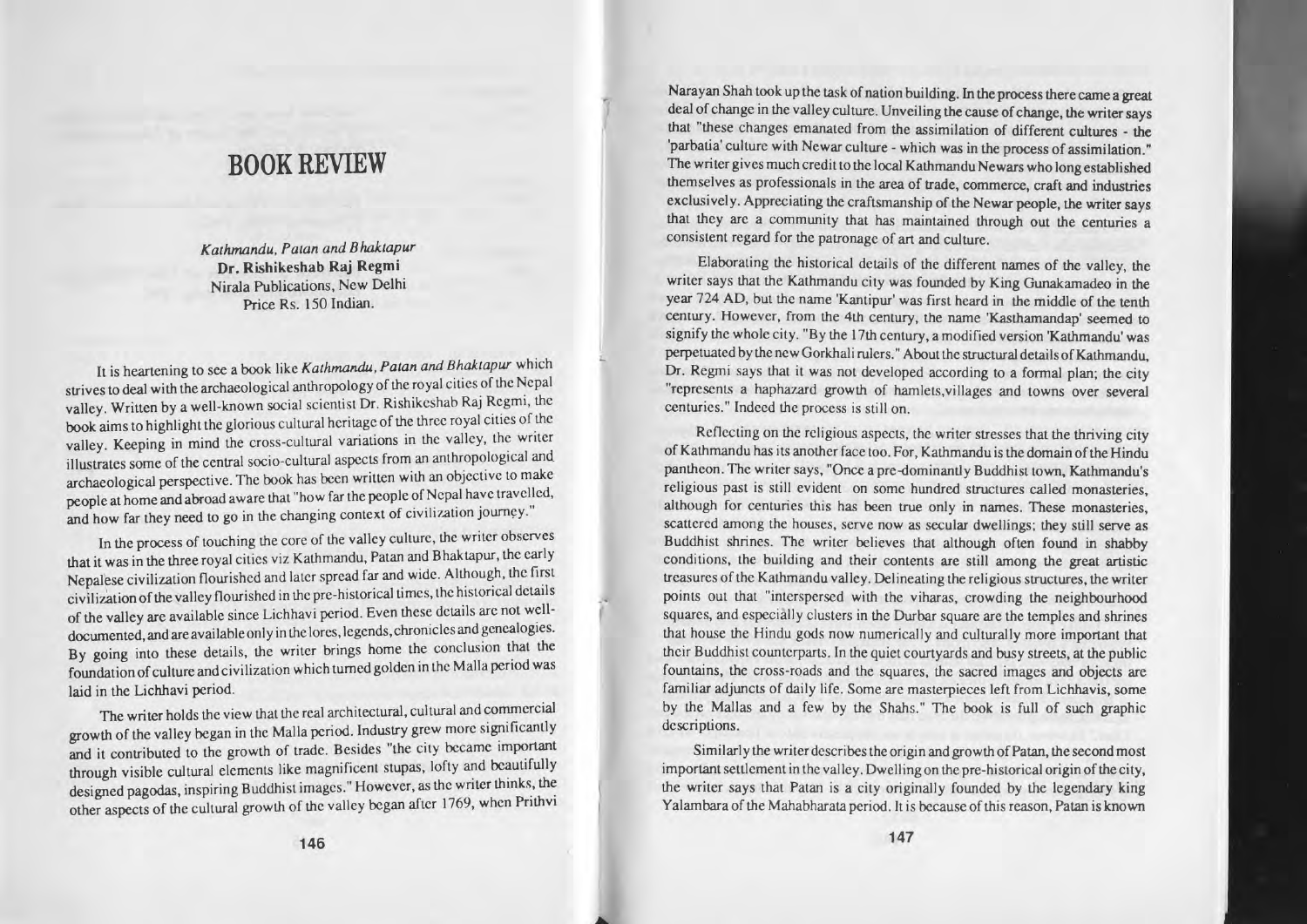## BOOK REVIEW

 $K$ *athmandu*, Patan and Bhaktapur Dr. **Rishikeshab Raj Regmi** Nirala Publications. New Delhi Price Rs. 150 Indian.

It is heartening to see a book like *Kathmandu*, Patan and Bhaktapur which strives to deal with the archaeological anthropology of the royal cities of the Nepal valley. Written by <sup>a</sup> well-known social scientist Dr. Rishikeshab Raj Regml, the book aims to highlight the glorious cultural heritage of the three royal cities of the **valley. Keeping in mind the cross-cultural variations in the valley, wnter** illustrates some of the central socio-cultural aspects from an anthropological and. archaeological perspective. The book has been written with an objective to make people at home and abroad aware that "how far the people of Nepal have travelled, and how far they need to go in the changing context of civilization journey."

**In the process of touching the core of the valley culture, the writer observes** that it was in the three royal cities viz Kathmandu, Patan and Bhaktapur, the early Nepalese civilization flourished and later spread far and wide. Although, the first civili7..ation ofthe valley **nourished in the pre-historical limes, the h.lsloncal details** of the valley are available since Lichhavi period. Even these details arc not welldocumented, and are available only in the lores, legends, chronicles and genealogies. By going into these details, the writer brings home the conclusion that the **foundation** of culture and civilization which turned golden in the Malla period was laid in the Lichhavi period.

**The writer holds the view that the real architectural, cultural and commercial** growth of the valley began in the Malia period. Industry grew more significantly **and it contributed to the growth of trade. Besides "the city became** through visible cultural elements like magnificent stupas, lofty and beautifully designed pagodas, inspiring Buddhist images." However, as the writer thinks, the other aspects of the cultural growth of the valley began after 1769, when Prithvi

Narayan Shah took up the task of nation building. In the process there came a great deal of change in the valley culture. Unveiling the cause of change, the writer says that "these changes emanated from the assimilation of different cultures - the **'parbatia' culture with Ncwar culture - which was in the process of assimilation."** The writer gives much credit to the local Kathmandu Newars who long established **themselves as professionals in the area of lrade. commerce, craft and industries** exclusively. Appreciating the craftsmanship of the Newar people, the writer says **that they arc <sup>a</sup> community that has maintained through out the centuries <sup>a</sup> consistent regard for the patronage of art and culture.**

Elaborating the historical dctails of the different names of the valley, the writer says that the Kathmandu city was founded by King Gunakamadeo in the year 724 AD, but the name 'Kantipur' was first heard in the middle of the tenth century. However, from the 4th century, the name 'Kasthamandap' seemed to signify the whole city. "By the 17th century, <sup>a</sup> modified version 'Kathmandu' was perpetuated by the new Gorkhali rulers." About the structural details of Kathmandu, Dr. Regmi says that it was not developed according to a formal plan; the city "represents <sup>a</sup> haphazard growth of hamlets,villages and towns over several **centuries. to Indeed the process is still on.**

**Reflccting on the religious aspects, me writer stresses that the thriving city** of Kathmandu has its another face too. For, Kathmandu is the domain of the Hindu **pantheon. The writer says, "Once <sup>a</sup> prc-dominanLJy Buddhist town. Kathmandu's religious past is still evident on some hundred structures called monasteries, although for centuries this has been true only in names. These monasteries. scattered among the houses, serve now as secular dwellings; they still serve as** Buddhist shrines. The writer believes that although often found in shabby **conditions. the building and their contents are still among the great artistic**  $t$ **reasures** of the Kathmandu valley. Delineating the religious structures, the writer points out that "interspersed with the viharas, crowding the neighbourhood squares, and especially clusters in the Durbar square are the temples and shrines that house the Hindu gods now numerically and culturally more important that their Buddhist counterparts. In the quiet courtyards and busy streets, at the public fountains, the cross-roads and the squares, the sacred images and objects are **familiar adjuncts of daily life. Some are masterpieces lefL from Lichhavis, some** by the Mallas and <sup>a</sup> few by the Shahs." The book is full of such graphic **descriptions.**

Similarly the writer describes the origin and growth of Patan, the second most **important settlement in the valley. Dwellingon the pre-historical origin** ofthe city, the writer says that Patan is a city originally founded by the legendary king Yalambara of the Mahabharata period. It is because of this reason, Patan is known